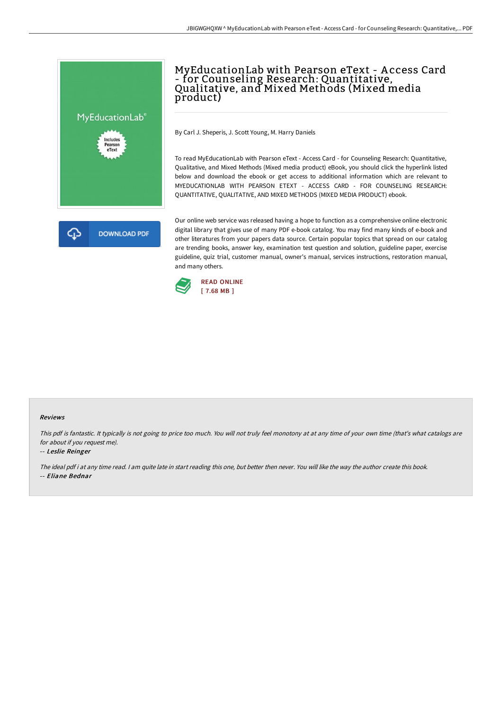

## MyEducationLab with Pearson eText - A ccess Card - for Counseling Research: Quantitative,<br>Qualitative, and Mixed Methods (Mixed media product)

By Carl J. Sheperis, J. Scott Young, M. Harry Daniels

To read MyEducationLab with Pearson eText - Access Card - for Counseling Research: Quantitative, Qualitative, and Mixed Methods (Mixed media product) eBook, you should click the hyperlink listed below and download the ebook or get access to additional information which are relevant to MYEDUCATIONLAB WITH PEARSON ETEXT - ACCESS CARD - FOR COUNSELING RESEARCH: QUANTITATIVE, QUALITATIVE, AND MIXED METHODS (MIXED MEDIA PRODUCT) ebook.

Our online web service was released having a hope to function as a comprehensive online electronic digital library that gives use of many PDF e-book catalog. You may find many kinds of e-book and other literatures from your papers data source. Certain popular topics that spread on our catalog are trending books, answer key, examination test question and solution, guideline paper, exercise guideline, quiz trial, customer manual, owner's manual, services instructions, restoration manual, and many others.



## Reviews

This pdf is fantastic. It typically is not going to price too much. You will not truly feel monotony at at any time of your own time (that's what catalogs are for about if you request me).

## -- Leslie Reinger

The ideal pdf i at any time read. <sup>I</sup> am quite late in start reading this one, but better then never. You will like the way the author create this book. -- Eliane Bednar